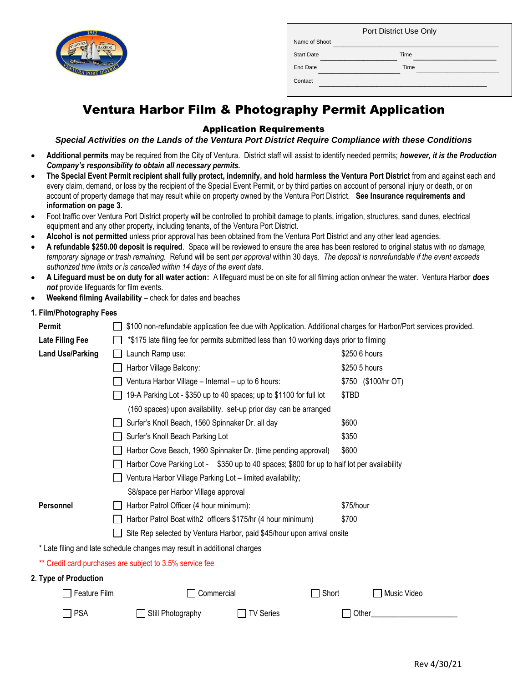

|                   | Port District Use Only |
|-------------------|------------------------|
| Name of Shoot     |                        |
| <b>Start Date</b> | Time                   |
| End Date          | Time                   |
| Contact           |                        |

# Ventura Harbor Film & Photography Permit Application

### Application Requirements

*Special Activities on the Lands of the Ventura Port District Require Compliance with these Conditions*

- **Additional permits** may be required from the City of Ventura. District staff will assist to identify needed permits; *however, it is the Production Company's responsibility to obtain all necessary permits.*
- **The Special Event Permit recipient shall fully protect, indemnify, and hold harmless the Ventura Port District** from and against each and every claim, demand, or loss by the recipient of the Special Event Permit, or by third parties on account of personal injury or death, or on account of property damage that may result while on property owned by the Ventura Port District. **See Insurance requirements and information on page 3.**
- Foot traffic over Ventura Port District property will be controlled to prohibit damage to plants, irrigation, structures, sand dunes, electrical equipment and any other property, including tenants, of the Ventura Port District.
- **Alcohol is not permitted** unless prior approval has been obtained from the Ventura Port District and any other lead agencies.
- **A refundable \$250.00 deposit is required**. Space will be reviewed to ensure the area has been restored to original status with *no damage, temporary signage or trash remaining.* Refund will be sent *per approval* within 30 days. *The deposit is nonrefundable if the event exceeds authorized time limits or is cancelled within 14 days of the event date*.
- **A Lifeguard must be on duty for all water action:** A lifeguard must be on site for all filming action on/near the water. Ventura Harbor *does not* provide lifeguards for film events.
- **Weekend filming Availability**  check for dates and beaches

#### **1. Film/Photography Fees**

| <b>Permit</b>           | \$100 non-refundable application fee due with Application. Additional charges for Harbor/Port services provided. |                     |  |  |  |
|-------------------------|------------------------------------------------------------------------------------------------------------------|---------------------|--|--|--|
| <b>Late Filing Fee</b>  | *\$175 late filing fee for permits submitted less than 10 working days prior to filming                          |                     |  |  |  |
| <b>Land Use/Parking</b> | Launch Ramp use:                                                                                                 | \$250 6 hours       |  |  |  |
|                         | Harbor Village Balcony:                                                                                          | \$250 5 hours       |  |  |  |
|                         | Ventura Harbor Village - Internal - up to 6 hours:                                                               | \$750 (\$100/hr OT) |  |  |  |
|                         | 19-A Parking Lot - \$350 up to 40 spaces; up to \$1100 for full lot                                              | \$TBD               |  |  |  |
|                         | (160 spaces) upon availability. set-up prior day can be arranged                                                 |                     |  |  |  |
|                         | Surfer's Knoll Beach, 1560 Spinnaker Dr. all day                                                                 | \$600               |  |  |  |
|                         | Surfer's Knoll Beach Parking Lot                                                                                 | \$350               |  |  |  |
|                         | Harbor Cove Beach, 1960 Spinnaker Dr. (time pending approval)                                                    | \$600               |  |  |  |
|                         | Harbor Cove Parking Lot - \$350 up to 40 spaces; \$800 for up to half lot per availability                       |                     |  |  |  |
|                         | Ventura Harbor Village Parking Lot - limited availability;                                                       |                     |  |  |  |
|                         | \$8/space per Harbor Village approval                                                                            |                     |  |  |  |
| Personnel               | Harbor Patrol Officer (4 hour minimum):                                                                          | \$75/hour           |  |  |  |
|                         | \$700<br>Harbor Patrol Boat with2 officers \$175/hr (4 hour minimum)                                             |                     |  |  |  |
|                         | Site Rep selected by Ventura Harbor, paid \$45/hour upon arrival onsite                                          |                     |  |  |  |
|                         | * Late filing and late schedule changes may result in additional charges                                         |                     |  |  |  |
|                         | ** Credit card purchases are subject to 3.5% service fee                                                         |                     |  |  |  |
| 2. Type of Production   |                                                                                                                  |                     |  |  |  |
| Feature Film            | Short<br>Commercial                                                                                              | Music Video         |  |  |  |
| <b>PSA</b>              | Still Photography<br><b>TV Series</b>                                                                            | Other               |  |  |  |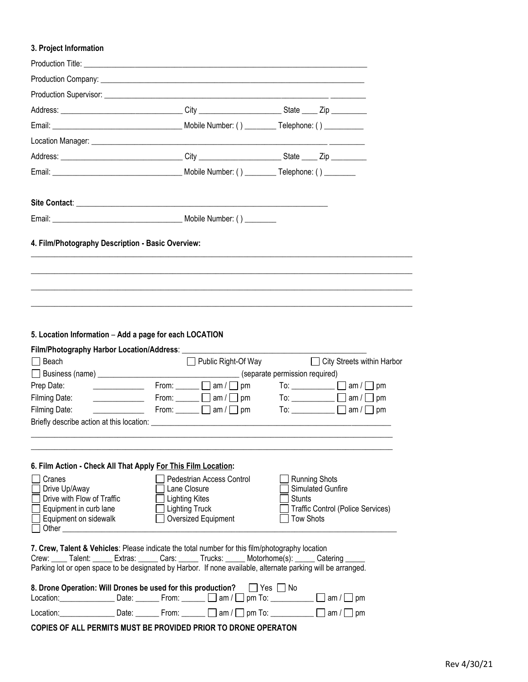## **3. Project Information**

| 5. Location Information - Add a page for each LOCATION                                                                                                                                                                                                                                                                           |                                                                                                                                                      |                                                           |                                                                                    |
|----------------------------------------------------------------------------------------------------------------------------------------------------------------------------------------------------------------------------------------------------------------------------------------------------------------------------------|------------------------------------------------------------------------------------------------------------------------------------------------------|-----------------------------------------------------------|------------------------------------------------------------------------------------|
| $\Box$ Beach<br>Prep Date:<br>Filming Date:<br>Filming Date:                                                                                                                                                                                                                                                                     | From: $\Box$ am / $\Box$ pm<br>From: $\Box$ am / $\Box$ pm $\Box$ To: $\Box$ am / $\Box$ pm<br>From: $\Box$ am / $\Box$ pm To: $\Box$ am / $\Box$ pm |                                                           | □ Public Right-Of Way<br>□ City Streets within Harbor<br>To: $\Box$ am / $\Box$ pm |
| 6. Film Action - Check All That Apply For This Film Location:<br>Cranes<br>Drive Up/Away<br>Drive with Flow of Traffic<br>Equipment in curb lane<br>Equipment on sidewalk<br>Other                                                                                                                                               | Pedestrian Access Control<br>Lane Closure<br><b>Lighting Kites</b><br><b>Lighting Truck</b><br>Oversized Equipment                                   | <b>Running Shots</b><br><b>Stunts</b><br><b>Tow Shots</b> | Simulated Gunfire<br>Traffic Control (Police Services)                             |
| 7. Crew, Talent & Vehicles: Please indicate the total number for this film/photography location<br>Crew: Crew: Talent: Extras: Cars: Cars: Trucks: Motorhome(s): Catering Contentledge Contentledge Contentledge<br>Parking lot or open space to be designated by Harbor. If none available, alternate parking will be arranged. |                                                                                                                                                      |                                                           |                                                                                    |
| 8. Drone Operation: Will Drones be used for this production?<br>Location: Date: From: am /                                                                                                                                                                                                                                       |                                                                                                                                                      | Yes    No<br>pm To: $\Box$ am /                           | pm                                                                                 |
|                                                                                                                                                                                                                                                                                                                                  | Location: __________________Date: __________From: _______ __] am / $\Box$ pm To: _____________ $\Box$ am / $\Box$                                    |                                                           | pm                                                                                 |

**COPIES OF ALL PERMITS MUST BE PROVIDED PRIOR TO DRONE OPERATON**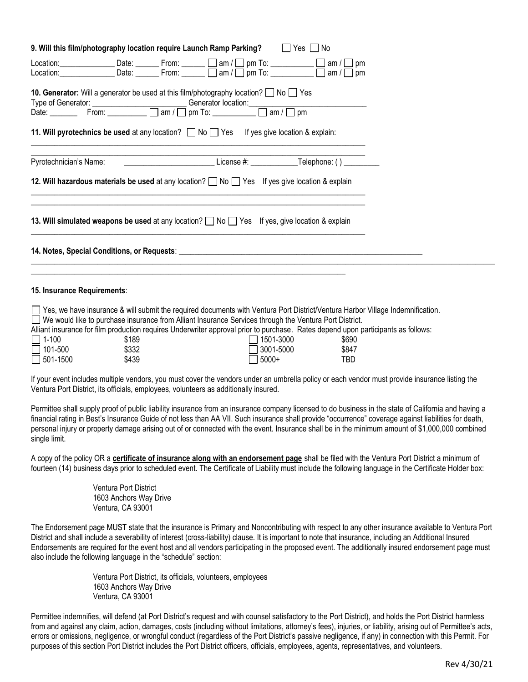| 9. Will this film/photography location require Launch Ramp Parking?<br>Pes DNo                                                                                                                                                                                                                                                                                                                                                                                                  |
|---------------------------------------------------------------------------------------------------------------------------------------------------------------------------------------------------------------------------------------------------------------------------------------------------------------------------------------------------------------------------------------------------------------------------------------------------------------------------------|
| Location: Date: $\Box$ Date: $\Box$ From: $\Box$ am / $\Box$ pm To: $\Box$ am / $\Box$ pm                                                                                                                                                                                                                                                                                                                                                                                       |
| <b>10. Generator:</b> Will a generator be used at this film/photography location? $\Box$ No $\Box$ Yes                                                                                                                                                                                                                                                                                                                                                                          |
| 11. Will pyrotechnics be used at any location? $\Box$ No $\Box$ Yes If yes give location & explain:<br>Pyrotechnician's Name: _______________________________License #: _____________Telephone: () _________                                                                                                                                                                                                                                                                    |
| 12. Will hazardous materials be used at any location? No Ses If yes give location & explain                                                                                                                                                                                                                                                                                                                                                                                     |
| 13. Will simulated weapons be used at any location? $\Box$ No $\Box$ Yes If yes, give location & explain                                                                                                                                                                                                                                                                                                                                                                        |
|                                                                                                                                                                                                                                                                                                                                                                                                                                                                                 |
| 15. Insurance Requirements:                                                                                                                                                                                                                                                                                                                                                                                                                                                     |
| □ Yes, we have insurance & will submit the required documents with Ventura Port District/Ventura Harbor Village Indemnification.<br>□ We would like to purchase insurance from Alliant Insurance Services through the Ventura Port District.<br>Alliant insurance for film production requires Underwriter approval prior to purchase. Rates depend upon participants as follows:<br>$11-100$<br>\$189<br>l 1501-3000<br>\$690<br>$\Box$ 101-500<br>\$332<br>3001-5000<br>\$847 |

If your event includes multiple vendors, you must cover the vendors under an umbrella policy or each vendor must provide insurance listing the Ventura Port District, its officials, employees, volunteers as additionally insured.

501-1500 \$439 5000+ TBD

Permittee shall supply proof of public liability insurance from an insurance company licensed to do business in the state of California and having a financial rating in Best's Insurance Guide of not less than AA VII. Such insurance shall provide "occurrence" coverage against liabilities for death, personal injury or property damage arising out of or connected with the event. Insurance shall be in the minimum amount of \$1,000,000 combined single limit.

A copy of the policy OR a **certificate of insurance along with an endorsement page** shall be filed with the Ventura Port District a minimum of fourteen (14) business days prior to scheduled event. The Certificate of Liability must include the following language in the Certificate Holder box:

> Ventura Port District 1603 Anchors Way Drive Ventura, CA 93001

The Endorsement page MUST state that the insurance is Primary and Noncontributing with respect to any other insurance available to Ventura Port District and shall include a severability of interest (cross-liability) clause. It is important to note that insurance, including an Additional Insured Endorsements are required for the event host and all vendors participating in the proposed event. The additionally insured endorsement page must also include the following language in the "schedule" section:

> Ventura Port District, its officials, volunteers, employees 1603 Anchors Way Drive Ventura, CA 93001

Permittee indemnifies, will defend (at Port District's request and with counsel satisfactory to the Port District), and holds the Port District harmless from and against any claim, action, damages, costs (including without limitations, attorney's fees), injuries, or liability, arising out of Permittee's acts, errors or omissions, negligence, or wrongful conduct (regardless of the Port District's passive negligence, if any) in connection with this Permit. For purposes of this section Port District includes the Port District officers, officials, employees, agents, representatives, and volunteers.